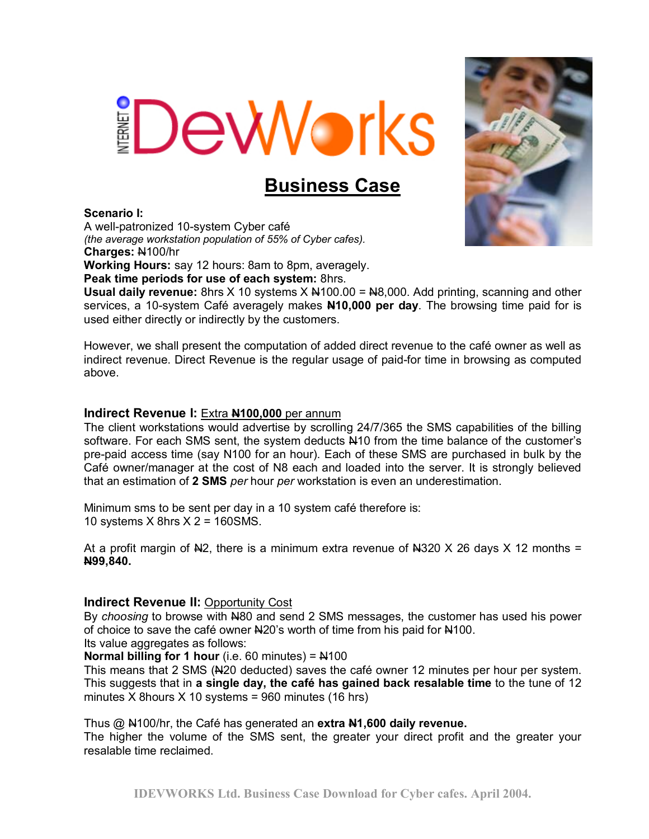# **Deworks**

# **Business Case**

# **Scenario I:**

A well-patronized 10-system Cyber café *(the average workstation population of 55% of Cyber cafes).*  **Charges:** N100/hr

**Working Hours:** say 12 hours: 8am to 8pm, averagely.

**Peak time periods for use of each system:** 8hrs.

**Usual daily revenue:** 8hrs  $X$  10 systems  $X$   $\frac{14100.00}{1}$  =  $\frac{148,000}{1}$ . Add printing, scanning and other services, a 10-system Café averagely makes **N10,000 per day**. The browsing time paid for is used either directly or indirectly by the customers.

However, we shall present the computation of added direct revenue to the café owner as well as indirect revenue. Direct Revenue is the regular usage of paid-for time in browsing as computed above.

# **Indirect Revenue I:** Extra **N100,000** per annum

The client workstations would advertise by scrolling 24/7/365 the SMS capabilities of the billing software. For each SMS sent, the system deducts  $\mu$ 10 from the time balance of the customer's pre-paid access time (say N100 for an hour). Each of these SMS are purchased in bulk by the Café owner/manager at the cost of N8 each and loaded into the server. It is strongly believed that an estimation of **2 SMS** *per* hour *per* workstation is even an underestimation.

Minimum sms to be sent per day in a 10 system café therefore is: 10 systems X 8hrs X 2 = 160SMS.

At a profit margin of  $N2$ , there is a minimum extra revenue of  $N320 \times 26$  days X 12 months = **N99,840.** 

# **Indirect Revenue II:** Opportunity Cost

By *choosing* to browse with N80 and send 2 SMS messages, the customer has used his power of choice to save the café owner  $\frac{120}{5}$  worth of time from his paid for  $\frac{1100}{5}$ .

Its value aggregates as follows:

**Normal billing for 1 hour** (i.e. 60 minutes) =  $\frac{14100}{100}$ 

This means that 2 SMS (Nomedical saves the café owner 12 minutes per hour per system. This suggests that in **a single day, the café has gained back resalable time** to the tune of 12 minutes X 8 hours  $X$  10 systems = 960 minutes (16 hrs)

Thus @ N100/hr, the Café has generated an **extra N1,600 daily revenue.**

The higher the volume of the SMS sent, the greater your direct profit and the greater your resalable time reclaimed.